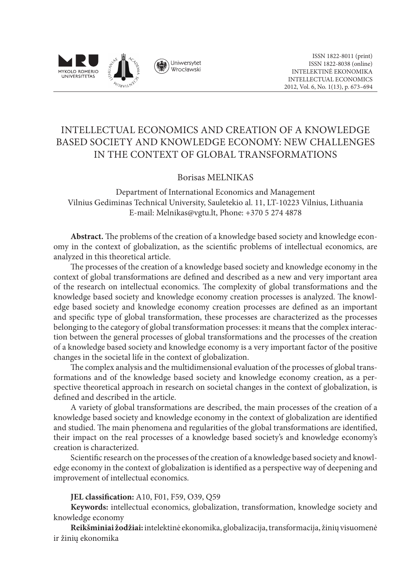

# INTELLECTUAL ECONOMICS AND CREATION OF A KNOWLEDGE BASED SOCIETY AND KNOWLEDGE ECONOMY: NEW CHALLENGES IN THE CONTEXT OF GLOBAL TRANSFORMATIONS

## Borisas MELNIKAS

Department of International Economics and Management Vilnius Gediminas Technical University, Sauletekio al. 11, LT-10223 Vilnius, Lithuania E-mail: Melnikas@vgtu.lt, Phone: +370 5 274 4878

**Abstract.** The problems of the creation of a knowledge based society and knowledge economy in the context of globalization, as the scientific problems of intellectual economics, are analyzed in this theoretical article.

The processes of the creation of a knowledge based society and knowledge economy in the context of global transformations are defined and described as a new and very important area of the research on intellectual economics. The complexity of global transformations and the knowledge based society and knowledge economy creation processes is analyzed. The knowledge based society and knowledge economy creation processes are defined as an important and specific type of global transformation, these processes are characterized as the processes belonging to the category of global transformation processes: it means that the complex interaction between the general processes of global transformations and the processes of the creation of a knowledge based society and knowledge economy is a very important factor of the positive changes in the societal life in the context of globalization.

The complex analysis and the multidimensional evaluation of the processes of global transformations and of the knowledge based society and knowledge economy creation, as a perspective theoretical approach in research on societal changes in the context of globalization, is defined and described in the article.

A variety of global transformations are described, the main processes of the creation of a knowledge based society and knowledge economy in the context of globalization are identified and studied. The main phenomena and regularities of the global transformations are identified, their impact on the real processes of a knowledge based society's and knowledge economy's creation is characterized.

Scientific research on the processes of the creation of a knowledge based society and knowledge economy in the context of globalization is identified as a perspective way of deepening and improvement of intellectual economics.

**JEL classification:** A10, F01, F59, O39, Q59

**Keywords:** intellectual economics, globalization, transformation, knowledge society and knowledge economy

**Reikšminiai žodžiai:**intelektinė ekonomika, globalizacija, transformacija, žinių visuomenė ir žinių ekonomika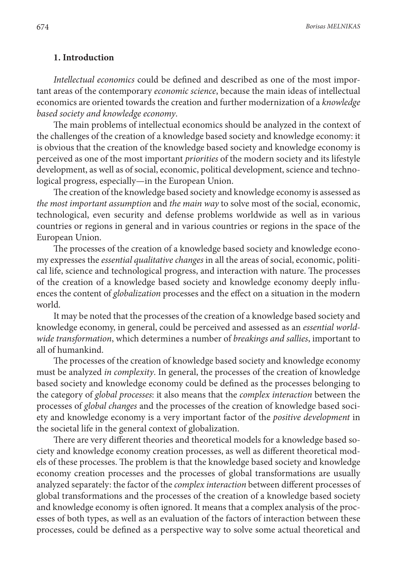#### **1. Introduction**

*Intellectual economics* could be defined and described as one of the most important areas of the contemporary *economic science*, because the main ideas of intellectual economics are oriented towards the creation and further modernization of a *knowledge based society and knowledge economy*.

The main problems of intellectual economics should be analyzed in the context of the challenges of the creation of a knowledge based society and knowledge economy: it is obvious that the creation of the knowledge based society and knowledge economy is perceived as one of the most important *priorities* of the modern society and its lifestyle development, as well as of social, economic, political development, science and technological progress, especially—in the European Union.

The creation of the knowledge based society and knowledge economy is assessed as *the most important assumption* and *the main way* to solve most of the social, economic, technological, even security and defense problems worldwide as well as in various countries or regions in general and in various countries or regions in the space of the European Union.

The processes of the creation of a knowledge based society and knowledge economy expresses the *essential qualitative changes* in all the areas of social, economic, political life, science and technological progress, and interaction with nature. The processes of the creation of a knowledge based society and knowledge economy deeply influences the content of *globalization* processes and the effect on a situation in the modern world.

It may be noted that the processes of the creation of a knowledge based society and knowledge economy, in general, could be perceived and assessed as an *essential worldwide transformation*, which determines a number of *breakings and sallies*, important to all of humankind.

The processes of the creation of knowledge based society and knowledge economy must be analyzed *in complexity*. In general, the processes of the creation of knowledge based society and knowledge economy could be defined as the processes belonging to the category of *global processes*: it also means that the *complex interaction* between the processes of *global changes* and the processes of the creation of knowledge based society and knowledge economy is a very important factor of the *positive development* in the societal life in the general context of globalization.

There are very different theories and theoretical models for a knowledge based society and knowledge economy creation processes, as well as different theoretical models of these processes. The problem is that the knowledge based society and knowledge economy creation processes and the processes of global transformations are usually analyzed separately: the factor of the *complex interaction* between different processes of global transformations and the processes of the creation of a knowledge based society and knowledge economy is often ignored. It means that a complex analysis of the processes of both types, as well as an evaluation of the factors of interaction between these processes, could be defined as a perspective way to solve some actual theoretical and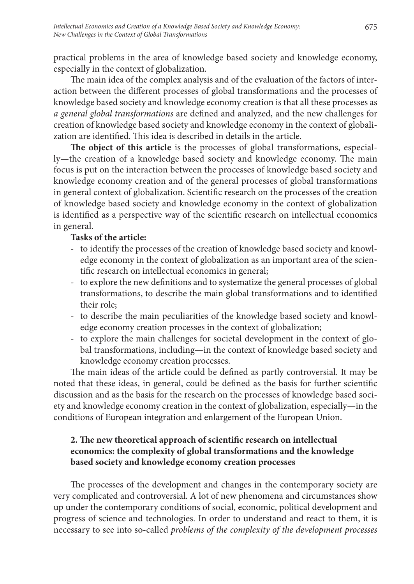practical problems in the area of knowledge based society and knowledge economy, especially in the context of globalization.

The main idea of the complex analysis and of the evaluation of the factors of interaction between the different processes of global transformations and the processes of knowledge based society and knowledge economy creation is that all these processes as *a general global transformations* are defined and analyzed, and the new challenges for creation of knowledge based society and knowledge economy in the context of globalization are identified. This idea is described in details in the article.

**The object of this article** is the processes of global transformations, especially—the creation of a knowledge based society and knowledge economy. The main focus is put on the interaction between the processes of knowledge based society and knowledge economy creation and of the general processes of global transformations in general context of globalization. Scientific research on the processes of the creation of knowledge based society and knowledge economy in the context of globalization is identified as a perspective way of the scientific research on intellectual economics in general.

## **Tasks of the article:**

- to identify the processes of the creation of knowledge based society and knowledge economy in the context of globalization as an important area of the scientific research on intellectual economics in general;
- to explore the new definitions and to systematize the general processes of global transformations, to describe the main global transformations and to identified their role;
- to describe the main peculiarities of the knowledge based society and knowledge economy creation processes in the context of globalization;
- to explore the main challenges for societal development in the context of global transformations, including—in the context of knowledge based society and knowledge economy creation processes.

The main ideas of the article could be defined as partly controversial. It may be noted that these ideas, in general, could be defined as the basis for further scientific discussion and as the basis for the research on the processes of knowledge based society and knowledge economy creation in the context of globalization, especially—in the conditions of European integration and enlargement of the European Union.

# **2. The new theoretical approach of scientific research on intellectual economics: the complexity of global transformations and the knowledge based society and knowledge economy creation processes**

The processes of the development and changes in the contemporary society are very complicated and controversial. A lot of new phenomena and circumstances show up under the contemporary conditions of social, economic, political development and progress of science and technologies. In order to understand and react to them, it is necessary to see into so-called *problems of the complexity of the development processes*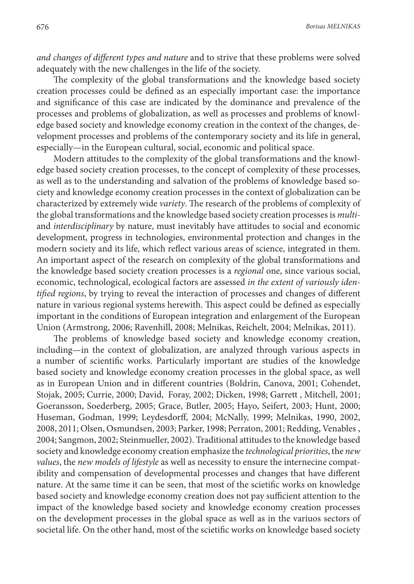*and changes of different types and nature* and to strive that these problems were solved adequately with the new challenges in the life of the society.

The complexity of the global transformations and the knowledge based society creation processes could be defined as an especially important case: the importance and significance of this case are indicated by the dominance and prevalence of the processes and problems of globalization, as well as processes and problems of knowledge based society and knowledge economy creation in the context of the changes, development processes and problems of the contemporary society and its life in general, especially—in the European cultural, social, economic and political space.

Modern attitudes to the complexity of the global transformations and the knowledge based society creation processes, to the concept of complexity of these processes, as well as to the understanding and salvation of the problems of knowledge based society and knowledge economy creation processes in the context of globalization can be characterized by extremely wide *variety*. The research of the problems of complexity of the global transformations and the knowledge based society creation processes is *multi*and *interdisciplinary* by nature, must inevitably have attitudes to social and economic development, progress in technologies, environmental protection and changes in the modern society and its life, which reflect various areas of science, integrated in them. An important aspect of the research on complexity of the global transformations and the knowledge based society creation processes is a *regional* one, since various social, economic, technological, ecological factors are assessed *in the extent of variously identified regions*, by trying to reveal the interaction of processes and changes of different nature in various regional systems herewith. This aspect could be defined as especially important in the conditions of European integration and enlargement of the European Union (Armstrong, 2006; Ravenhill, 2008; Melnikas, Reichelt, 2004; Melnikas, 2011).

The problems of knowledge based society and knowledge economy creation, including—in the context of globalization, are analyzed through various aspects in a number of scientific works. Particularly important are studies of the knowledge based society and knowledge economy creation processes in the global space, as well as in European Union and in different countries (Boldrin, Canova, 2001; Cohendet, Stojak, 2005; Currie, 2000; David, Foray, 2002; Dicken, 1998; Garrett , Mitchell, 2001; Goeransson, Soederberg, 2005; Grace, Butler, 2005; Hayo, Seifert, 2003; Hunt, 2000; Huseman, Godman, 1999; Leydesdorff, 2004; McNally, 1999; Melnikas, 1990, 2002, 2008, 2011; Olsen, Osmundsen, 2003; Parker, 1998; Perraton, 2001; Redding, Venables , 2004; Sangmon, 2002; Steinmueller, 2002). Traditional attitudes to the knowledge based society and knowledge economy creation emphasize the *technological priorities*, the *new values*, the *new models of lifestyle* as well as necessity to ensure the internecine compatibility and compensation of developmental processes and changes that have different nature. At the same time it can be seen, that most of the scietific works on knowledge based society and knowledge economy creation does not pay sufficient attention to the impact of the knowledge based society and knowledge economy creation processes on the development processes in the global space as well as in the variuos sectors of societal life. On the other hand, most of the scietific works on knowledge based society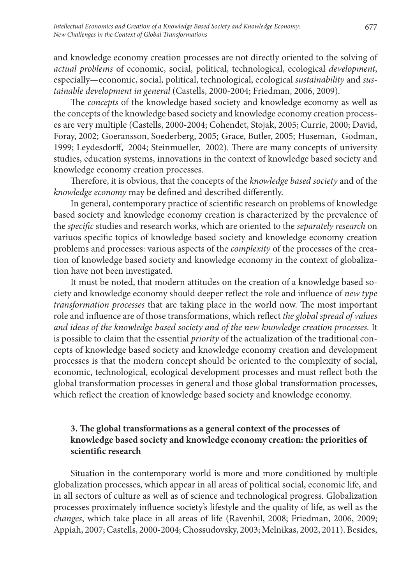and knowledge economy creation processes are not directly oriented to the solving of *actual problems* of economic, social, political, technological, ecological *development*, especially—economic, social, political, technological, ecological *sustainability* and *sustainable development in general* (Castells, 2000-2004; Friedman, 2006, 2009).

The *concepts* of the knowledge based society and knowledge economy as well as the concepts of the knowledge based society and knowledge economy creation processes are very multiple (Castells, 2000-2004; Cohendet, Stojak, 2005; Currie, 2000; David, Foray, 2002; Goeransson, Soederberg, 2005; Grace, Butler, 2005; Huseman, Godman, 1999; Leydesdorff, 2004; Steinmueller, 2002). There are many concepts of university studies, education systems, innovations in the context of knowledge based society and knowledge economy creation processes.

Therefore, it is obvious, that the concepts of the *knowledge based society* and of the *knowledge economy* may be defined and described differently.

In general, contemporary practice of scientific research on problems of knowledge based society and knowledge economy creation is characterized by the prevalence of the *specific* studies and research works, which are oriented to the *separately research* on variuos specific topics of knowledge based society and knowledge economy creation problems and processes: various aspects of the *complexity* of the processes of the creation of knowledge based society and knowledge economy in the context of globalization have not been investigated.

It must be noted, that modern attitudes on the creation of a knowledge based society and knowledge economy should deeper reflect the role and influence of *new type transformation processes* that are taking place in the world now. The most important role and influence are of those transformations, which reflect *the global spread of values and ideas of the knowledge based society and of the new knowledge creation processes.* It is possible to claim that the essential *priority* of the actualization of the traditional concepts of knowledge based society and knowledge economy creation and development processes is that the modern concept should be oriented to the complexity of social, economic, technological, ecological development processes and must reflect both the global transformation processes in general and those global transformation processes, which reflect the creation of knowledge based society and knowledge economy.

# **3. The global transformations as a general context of the processes of knowledge based society and knowledge economy creation: the priorities of scientific research**

Situation in the contemporary world is more and more conditioned by multiple globalization processes, which appear in all areas of political social, economic life, and in all sectors of culture as well as of science and technological progress. Globalization processes proximately influence society's lifestyle and the quality of life, as well as the *changes*, which take place in all areas of life (Ravenhil, 2008; Friedman, 2006, 2009; Appiah, 2007; Castells, 2000-2004; Chossudovsky, 2003; Melnikas, 2002, 2011). Besides,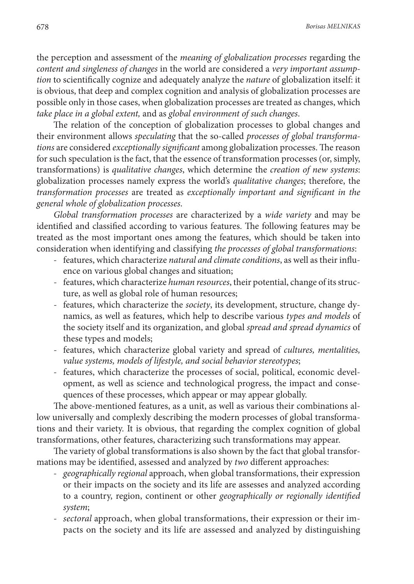the perception and assessment of the *meaning of globalization processes* regarding the *content and singleness of changes* in the world are considered a *very important assumption* to scientifically cognize and adequately analyze the *nature* of globalization itself: it is obvious, that deep and complex cognition and analysis of globalization processes are possible only in those cases, when globalization processes are treated as changes, which *take place in a global extent,* and as *global environment of such changes*.

The relation of the conception of globalization processes to global changes and their environment allows *speculating* that the so-called *processes of global transformations* are considered *exceptionally significant* among globalization processes. The reason for such speculation is the fact, that the essence of transformation processes (or, simply, transformations) is *qualitative changes*, which determine the *creation of new systems*: globalization processes namely express the world's *qualitative changes*; therefore, the *transformation processes* are treated as *exceptionally important and significant in the general whole of globalization processes*.

*Global transformation processes* are characterized by a *wide variety* and may be identified and classified according to various features. The following features may be treated as the most important ones among the features, which should be taken into consideration when identifying and classifying *the processes of global transformations*:

- features, which characterize *natural and climate conditions*, as well as their influence on various global changes and situation;
- features, which characterize *human resources*, their potential, change of its structure, as well as global role of human resources;
- features, which characterize the *society*, its development, structure, change dynamics, as well as features, which help to describe various *types and models* of the society itself and its organization, and global *spread and spread dynamics* of these types and models;
- features, which characterize global variety and spread of *cultures, mentalities, value systems, models of lifestyle, and social behavior stereotypes*;
- features, which characterize the processes of social, political, economic development, as well as science and technological progress, the impact and consequences of these processes, which appear or may appear globally.

The above-mentioned features, as a unit, as well as various their combinations allow universally and complexly describing the modern processes of global transformations and their variety. It is obvious, that regarding the complex cognition of global transformations, other features, characterizing such transformations may appear.

The variety of global transformations is also shown by the fact that global transformations may be identified, assessed and analyzed by *two* different approaches:

- *- geographically regional* approach, when global transformations, their expression or their impacts on the society and its life are assesses and analyzed according to a country, region, continent or other *geographically or regionally identified system*;
- *- sectoral* approach, when global transformations, their expression or their impacts on the society and its life are assessed and analyzed by distinguishing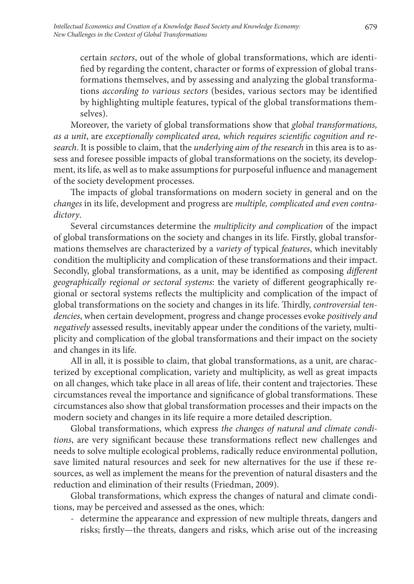certain *sectors*, out of the whole of global transformations, which are identified by regarding the content, character or forms of expression of global transformations themselves, and by assessing and analyzing the global transformations *according to various sectors* (besides, various sectors may be identified by highlighting multiple features, typical of the global transformations themselves).

Moreover, the variety of global transformations show that *global transformations, as a unit*, are *exceptionally complicated area, which requires scientific cognition and research*. It is possible to claim, that the *underlying aim of the research* in this area is to assess and foresee possible impacts of global transformations on the society, its development, its life, as well as to make assumptions for purposeful influence and management of the society development processes.

The impacts of global transformations on modern society in general and on the *changes* in its life, development and progress are *multiple, complicated and even contradictory*.

Several circumstances determine the *multiplicity and complication* of the impact of global transformations on the society and changes in its life. Firstly, global transformations themselves are characterized by a *variety of* typical *features*, which inevitably condition the multiplicity and complication of these transformations and their impact. Secondly, global transformations, as a unit, may be identified as composing *different geographically regional or sectoral systems*: the variety of different geographically regional or sectoral systems reflects the multiplicity and complication of the impact of global transformations on the society and changes in its life. Thirdly, *controversial tendencies*, when certain development, progress and change processes evoke *positively and negatively* assessed results, inevitably appear under the conditions of the variety, multiplicity and complication of the global transformations and their impact on the society and changes in its life.

All in all, it is possible to claim, that global transformations, as a unit, are characterized by exceptional complication, variety and multiplicity, as well as great impacts on all changes, which take place in all areas of life, their content and trajectories. These circumstances reveal the importance and significance of global transformations. These circumstances also show that global transformation processes and their impacts on the modern society and changes in its life require a more detailed description.

Global transformations, which express *the changes of natural and climate conditions*, are very significant because these transformations reflect new challenges and needs to solve multiple ecological problems, radically reduce environmental pollution, save limited natural resources and seek for new alternatives for the use if these resources, as well as implement the means for the prevention of natural disasters and the reduction and elimination of their results (Friedman, 2009).

Global transformations, which express the changes of natural and climate conditions, may be perceived and assessed as the ones, which:

- determine the appearance and expression of new multiple threats, dangers and risks; firstly—the threats, dangers and risks, which arise out of the increasing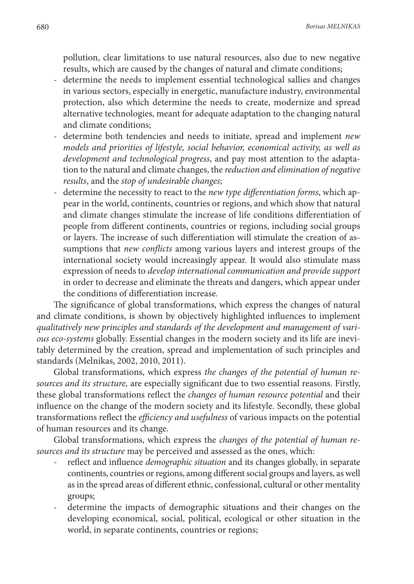pollution, clear limitations to use natural resources, also due to new negative results, which are caused by the changes of natural and climate conditions;

- determine the needs to implement essential technological sallies and changes in various sectors, especially in energetic, manufacture industry, environmental protection, also which determine the needs to create, modernize and spread alternative technologies, meant for adequate adaptation to the changing natural and climate conditions;
- determine both tendencies and needs to initiate, spread and implement *new models and priorities of lifestyle, social behavior, economical activity, as well as development and technological progress*, and pay most attention to the adaptation to the natural and climate changes, the *reduction and elimination of negative results*, and the *stop of undesirable changes*;
- determine the necessity to react to the *new type differentiation forms*, which appear in the world, continents, countries or regions, and which show that natural and climate changes stimulate the increase of life conditions differentiation of people from different continents, countries or regions, including social groups or layers. The increase of such differentiation will stimulate the creation of assumptions that *new conflicts* among various layers and interest groups of the international society would increasingly appear. It would also stimulate mass expression of needs to *develop international communication and provide support* in order to decrease and eliminate the threats and dangers, which appear under the conditions of differentiation increase.

The significance of global transformations, which express the changes of natural and climate conditions, is shown by objectively highlighted influences to implement *qualitatively new principles and standards of the development and management of various eco-systems* globally. Essential changes in the modern society and its life are inevitably determined by the creation, spread and implementation of such principles and standards (Melnikas, 2002, 2010, 2011).

Global transformations, which express *the changes of the potential of human resources and its structure,* are especially significant due to two essential reasons. Firstly, these global transformations reflect the *changes of human resource potential* and their influence on the change of the modern society and its lifestyle. Secondly, these global transformations reflect the *efficiency and usefulness* of various impacts on the potential of human resources and its change.

Global transformations, which express the *changes of the potential of human resources and its structure* may be perceived and assessed as the ones, which:

- reflect and influence *demographic situation* and its changes globally, in separate continents, countries or regions, among different social groups and layers, as well as in the spread areas of different ethnic, confessional, cultural or other mentality groups;
- determine the impacts of demographic situations and their changes on the developing economical, social, political, ecological or other situation in the world, in separate continents, countries or regions;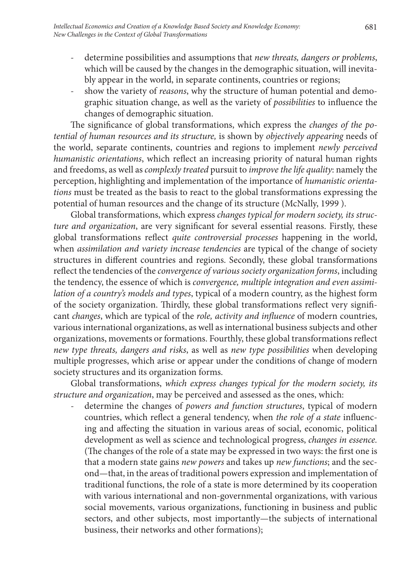- determine possibilities and assumptions that *new threats, dangers or problems*, which will be caused by the changes in the demographic situation, will inevitably appear in the world, in separate continents, countries or regions;
- show the variety of *reasons*, why the structure of human potential and demographic situation change, as well as the variety of *possibilities* to influence the changes of demographic situation.

The significance of global transformations, which express the *changes of the potential of human resources and its structure,* is shown by *objectively appearing* needs of the world, separate continents, countries and regions to implement *newly perceived humanistic orientations*, which reflect an increasing priority of natural human rights and freedoms, as well as *complexly treated* pursuit to *improve the life quality*: namely the perception, highlighting and implementation of the importance of *humanistic orientations* must be treated as the basis to react to the global transformations expressing the potential of human resources and the change of its structure (McNally, 1999 ).

Global transformations, which express *changes typical for modern society, its structure and organization*, are very significant for several essential reasons. Firstly, these global transformations reflect *quite controversial processes* happening in the world, when *assimilation and variety increase tendencies* are typical of the change of society structures in different countries and regions. Secondly, these global transformations reflect the tendencies of the *convergence of various society organization forms*, including the tendency, the essence of which is *convergence, multiple integration and even assimilation of a country's models and types*, typical of a modern country, as the highest form of the society organization. Thirdly, these global transformations reflect very significant *changes*, which are typical of the *role, activity and influence* of modern countries, various international organizations, as well as international business subjects and other organizations, movements or formations. Fourthly, these global transformations reflect *new type threats, dangers and risks*, as well as *new type possibilities* when developing multiple progresses, which arise or appear under the conditions of change of modern society structures and its organization forms.

Global transformations, *which express changes typical for the modern society, its structure and organization*, may be perceived and assessed as the ones, which:

- determine the changes of *powers and function structures*, typical of modern countries, which reflect a general tendency, when *the role of a state* influencing and affecting the situation in various areas of social, economic, political development as well as science and technological progress, *changes in essence.* (The changes of the role of a state may be expressed in two ways: the first one is that a modern state gains *new powers* and takes up *new functions*; and the second—that, in the areas of traditional powers expression and implementation of traditional functions, the role of a state is more determined by its cooperation with various international and non-governmental organizations, with various social movements, various organizations, functioning in business and public sectors, and other subjects, most importantly—the subjects of international business, their networks and other formations);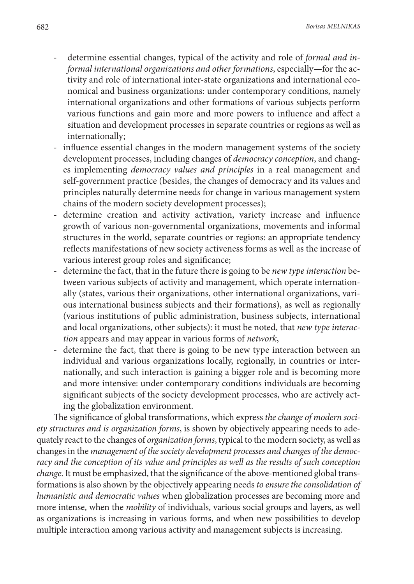- determine essential changes, typical of the activity and role of *formal and informal international organizations and other formations*, especially—for the activity and role of international inter-state organizations and international economical and business organizations: under contemporary conditions, namely international organizations and other formations of various subjects perform various functions and gain more and more powers to influence and affect a situation and development processes in separate countries or regions as well as internationally;
- influence essential changes in the modern management systems of the society development processes, including changes of *democracy conception*, and changes implementing *democracy values and principles* in a real management and self-government practice (besides, the changes of democracy and its values and principles naturally determine needs for change in various management system chains of the modern society development processes);
- determine creation and activity activation, variety increase and influence growth of various non-governmental organizations, movements and informal structures in the world, separate countries or regions: an appropriate tendency reflects manifestations of new society activeness forms as well as the increase of various interest group roles and significance;
- determine the fact, that in the future there is going to be *new type interaction* between various subjects of activity and management, which operate internationally (states, various their organizations, other international organizations, various international business subjects and their formations), as well as regionally (various institutions of public administration, business subjects, international and local organizations, other subjects): it must be noted, that *new type interaction* appears and may appear in various forms of *network*,
- determine the fact, that there is going to be new type interaction between an individual and various organizations locally, regionally, in countries or internationally, and such interaction is gaining a bigger role and is becoming more and more intensive: under contemporary conditions individuals are becoming significant subjects of the society development processes, who are actively acting the globalization environment.

The significance of global transformations, which express *the change of modern society structures and is organization forms*, is shown by objectively appearing needs to adequately react to the changes of *organization forms*, typical to the modern society, as well as changes in the *management of the society development processes and changes of the democ*racy and the conception of its value and principles as well as the results of such conception *change*. It must be emphasized, that the significance of the above-mentioned global transformations is also shown by the objectively appearing needs *to ensure the consolidation of humanistic and democratic values* when globalization processes are becoming more and more intense, when the *mobility* of individuals, various social groups and layers, as well as organizations is increasing in various forms, and when new possibilities to develop multiple interaction among various activity and management subjects is increasing.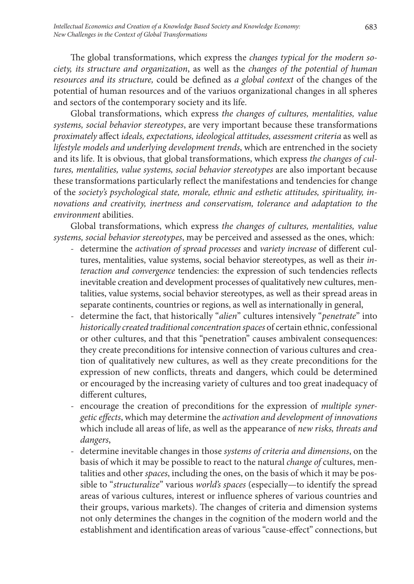The global transformations, which express the *changes typical for the modern society, its structure and organization*, as well as the *changes of the potential of human resources and its structure,* could be defined as *a global context* of the changes of the potential of human resources and of the variuos organizational changes in all spheres and sectors of the contemporary society and its life.

Global transformations, which express *the changes of cultures, mentalities, value systems, social behavior stereotypes*, are very important because these transformations *proximately* affect *ideals, expectations, ideological attitudes, assessment criteria* as well as *lifestyle models and underlying development trends*, which are entrenched in the society and its life. It is obvious, that global transformations, which express *the changes of cultures, mentalities, value systems, social behavior stereotypes* are also important because these transformations particularly reflect the manifestations and tendencies for change of the *society's psychological state, morale, ethnic and esthetic attitudes, spirituality, innovations and creativity, inertness and conservatism, tolerance and adaptation to the environment* abilities.

Global transformations, which express *the changes of cultures, mentalities, value systems, social behavior stereotypes*, may be perceived and assessed as the ones, which:

- determine the *activation of spread processes* and *variety increase* of different cultures, mentalities, value systems, social behavior stereotypes, as well as their *interaction and convergence* tendencies: the expression of such tendencies reflects inevitable creation and development processes of qualitatively new cultures, mentalities, value systems, social behavior stereotypes, as well as their spread areas in separate continents, countries or regions, as well as internationally in general,
- determine the fact, that historically "*alien*" cultures intensively "*penetrate*" into *historically created traditional concentration spaces* of certain ethnic, confessional or other cultures, and that this "penetration" causes ambivalent consequences: they create preconditions for intensive connection of various cultures and creation of qualitatively new cultures, as well as they create preconditions for the expression of new conflicts, threats and dangers, which could be determined or encouraged by the increasing variety of cultures and too great inadequacy of different cultures,
- encourage the creation of preconditions for the expression of *multiple synergetic effects*, which may determine the *activation and development of innovations* which include all areas of life, as well as the appearance of *new risks, threats and dangers*,
- determine inevitable changes in those *systems of criteria and dimensions*, on the basis of which it may be possible to react to the natural *change of* cultures, mentalities and other *spaces*, including the ones, on the basis of which it may be possible to "*structuralize*" various *world's spaces* (especially—to identify the spread areas of various cultures, interest or influence spheres of various countries and their groups, various markets). The changes of criteria and dimension systems not only determines the changes in the cognition of the modern world and the establishment and identification areas of various "cause-effect" connections, but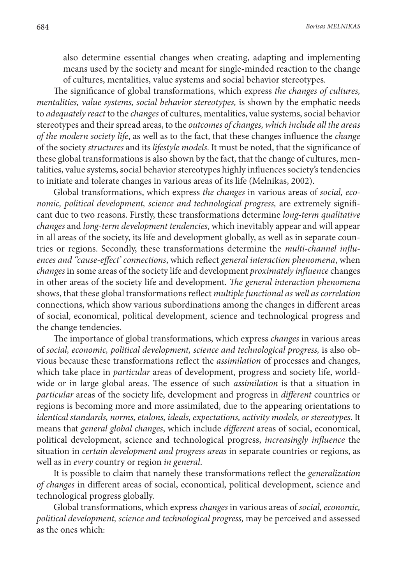also determine essential changes when creating, adapting and implementing means used by the society and meant for single-minded reaction to the change of cultures, mentalities, value systems and social behavior stereotypes.

The significance of global transformations, which express *the changes of cultures, mentalities, value systems, social behavior stereotypes,* is shown by the emphatic needs to *adequately react* to the *changes* of cultures, mentalities, value systems, social behavior stereotypes and their spread areas, to the *outcomes of changes, which include all the areas of the modern society life*, as well as to the fact, that these changes influence the *change* of the society *structures* and its *lifestyle models*. It must be noted, that the significance of these global transformations is also shown by the fact, that the change of cultures, mentalities, value systems, social behavior stereotypes highly influences society's tendencies to initiate and tolerate changes in various areas of its life (Melnikas, 2002).

Global transformations, which express *the changes* in various areas of *social, economic, political development, science and technological progress, are extremely signifi*cant due to two reasons. Firstly, these transformations determine *long-term qualitative changes* and *long-term development tendencies*, which inevitably appear and will appear in all areas of the society, its life and development globally, as well as in separate countries or regions. Secondly, these transformations determine the *multi-channel influences and "cause-effect' connections*, which reflect *general interaction phenomena*, when *changes* in some areas of the society life and development *proximately influence* changes in other areas of the society life and development. *The general interaction phenomena* shows, that these global transformations reflect *multiple functional as well as correlation* connections, which show various subordinations among the changes in different areas of social, economical, political development, science and technological progress and the change tendencies.

The importance of global transformations, which express *changes* in various areas of *social, economic, political development, science and technological progress,* is also obvious because these transformations reflect the *assimilation* of processes and changes, which take place in *particular* areas of development, progress and society life, worldwide or in large global areas. The essence of such *assimilation* is that a situation in *particular* areas of the society life, development and progress in *different* countries or regions is becoming more and more assimilated, due to the appearing orientations to *identical standards, norms, etalons, ideals, expectations, activity models, or stereotypes*. It means that *general global changes*, which include *different* areas of social, economical, political development, science and technological progress, *increasingly influence* the situation in *certain development and progress areas* in separate countries or regions, as well as in *every* country or region *in general*.

It is possible to claim that namely these transformations reflect the *generalization of changes* in different areas of social, economical, political development, science and technological progress globally.

Global transformations, which express *changes* in various areas of *social, economic, political development, science and technological progress,* may be perceived and assessed as the ones which: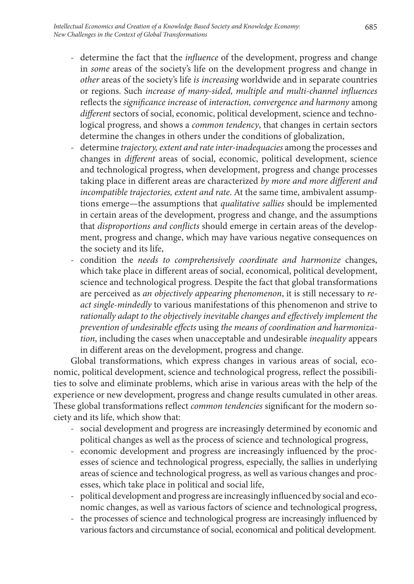- determine the fact that the *influence* of the development, progress and change in *some* areas of the society's life on the development progress and change in *other* areas of the society's life *is increasing* worldwide and in separate countries or regions. Such *increase of many-sided, multiple and multi-channel influences* reflects the *significance increase* of *interaction, convergence and harmony* among *different* sectors of social, economic, political development, science and technological progress, and shows a *common tendency*, that changes in certain sectors determine the changes in others under the conditions of globalization,
- determine *trajectory, extent and rate inter-inadequacies* among the processes and changes in *different* areas of social, economic, political development, science and technological progress, when development, progress and change processes taking place in different areas are characterized *by more and more different and incompatible trajectories, extent and rate*. At the same time, ambivalent assumptions emerge—the assumptions that *qualitative sallies* should be implemented in certain areas of the development, progress and change, and the assumptions that *disproportions and conflicts* should emerge in certain areas of the development, progress and change, which may have various negative consequences on the society and its life,
- condition the *needs to comprehensively coordinate and harmonize* changes, which take place in different areas of social, economical, political development, science and technological progress. Despite the fact that global transformations are perceived as *an objectively appearing phenomenon*, it is still necessary to *react single-mindedly* to various manifestations of this phenomenon and strive to *rationally adapt to the objectively inevitable changes and effectively implement the prevention of undesirable effects* using *the means of coordination and harmonization*, including the cases when unacceptable and undesirable *inequality* appears in different areas on the development, progress and change.

Global transformations, which express changes in various areas of social, economic, political development, science and technological progress, reflect the possibilities to solve and eliminate problems, which arise in various areas with the help of the experience or new development, progress and change results cumulated in other areas. These global transformations reflect *common tendencies* significant for the modern society and its life, which show that:

- social development and progress are increasingly determined by economic and political changes as well as the process of science and technological progress,
- economic development and progress are increasingly influenced by the processes of science and technological progress, especially, the sallies in underlying areas of science and technological progress, as well as various changes and processes, which take place in political and social life,
- political development and progress are increasingly influenced by social and economic changes, as well as various factors of science and technological progress,
- the processes of science and technological progress are increasingly influenced by various factors and circumstance of social, economical and political development.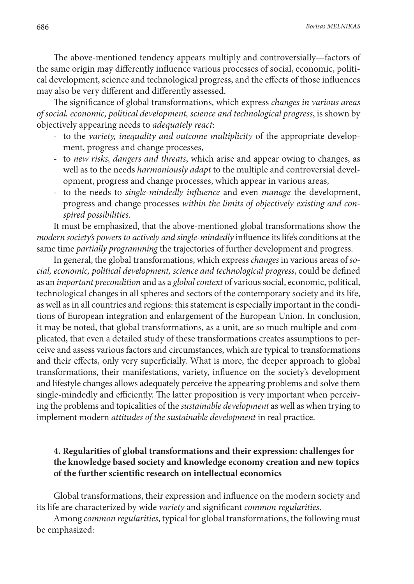The above-mentioned tendency appears multiply and controversially—factors of the same origin may differently influence various processes of social, economic, political development, science and technological progress, and the effects of those influences may also be very different and differently assessed.

The significance of global transformations, which express *changes in various areas of social, economic, political development, science and technological progress*, is shown by objectively appearing needs to *adequately react*:

- to the *variety, inequality and outcome multiplicity* of the appropriate development, progress and change processes,
- to *new risks, dangers and threats*, which arise and appear owing to changes, as well as to the needs *harmoniously adapt* to the multiple and controversial development, progress and change processes, which appear in various areas,
- to the needs to *single-mindedly influence* and even *manage* the development, progress and change processes *within the limits of objectively existing and conspired possibilities*.

It must be emphasized, that the above-mentioned global transformations show the *modern society's powers to actively and single-mindedly* influence its life's conditions at the same time *partially programming* the trajectories of further development and progress.

In general, the global transformations, which express *changes* in various areas of *social, economic, political development, science and technological progress*, could be defined as an *important precondition* and as a *global context* of various social, economic, political, technological changes in all spheres and sectors of the contemporary society and its life, as well as in all countries and regions: this statement is especially important in the conditions of European integration and enlargement of the European Union. In conclusion, it may be noted, that global transformations, as a unit, are so much multiple and complicated, that even a detailed study of these transformations creates assumptions to perceive and assess various factors and circumstances, which are typical to transformations and their effects, only very superficially. What is more, the deeper approach to global transformations, their manifestations, variety, influence on the society's development and lifestyle changes allows adequately perceive the appearing problems and solve them single-mindedly and efficiently. The latter proposition is very important when perceiving the problems and topicalities of the *sustainable development* as well as when trying to implement modern *attitudes of the sustainable development* in real practice.

## **4. Regularities of global transformations and their expression: challenges for the knowledge based society and knowledge economy creation and new topics of the further scientific research on intellectual economics**

Global transformations, their expression and influence on the modern society and its life are characterized by wide *variety* and significant *common regularities*.

Among *common regularities*, typical for global transformations, the following must be emphasized: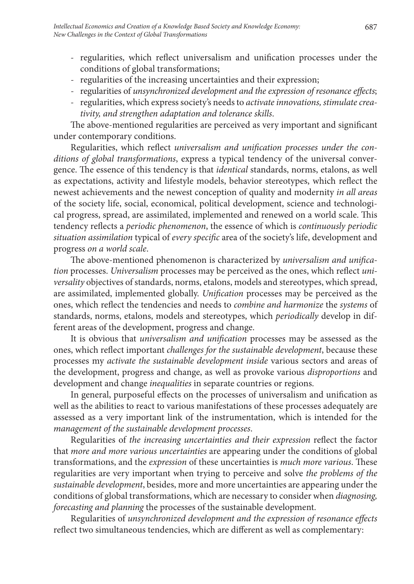- regularities, which reflect universalism and unification processes under the conditions of global transformations;
- regularities of the increasing uncertainties and their expression;
- regularities of *unsynchronized development and the expression of resonance effects*;
- regularities, which express society's needs to *activate innovations, stimulate creativity, and strengthen adaptation and tolerance skills*.

The above-mentioned regularities are perceived as very important and significant under contemporary conditions.

Regularities, which reflect *universalism and unification processes under the conditions of global transformations*, express a typical tendency of the universal convergence. The essence of this tendency is that *identical* standards, norms, etalons, as well as expectations, activity and lifestyle models, behavior stereotypes, which reflect the newest achievements and the newest conception of quality and modernity *in all areas* of the society life, social, economical, political development, science and technological progress, spread, are assimilated, implemented and renewed on a world scale. This tendency reflects a *periodic phenomenon*, the essence of which is *continuously periodic situation assimilation* typical of *every specific* area of the society's life, development and progress *on a world scale*.

The above-mentioned phenomenon is characterized by *universalism and unification* processes. *Universalism* processes may be perceived as the ones, which reflect *universality* objectives of standards, norms, etalons, models and stereotypes, which spread, are assimilated, implemented globally. *Unification* processes may be perceived as the ones, which reflect the tendencies and needs to *combine and harmonize* the *systems* of standards, norms, etalons, models and stereotypes, which *periodically* develop in different areas of the development, progress and change.

It is obvious that *universalism and unification* processes may be assessed as the ones, which reflect important *challenges for the sustainable development*, because these processes my *activate the sustainable development inside* various sectors and areas of the development, progress and change, as well as provoke various *disproportions* and development and change *inequalities* in separate countries or regions.

In general, purposeful effects on the processes of universalism and unification as well as the abilities to react to various manifestations of these processes adequately are assessed as a very important link of the instrumentation, which is intended for the *management of the sustainable development processes*.

Regularities of *the increasing uncertainties and their expression* reflect the factor that *more and more various uncertainties* are appearing under the conditions of global transformations, and the *expression* of these uncertainties is *much more various*. These regularities are very important when trying to perceive and solve *the problems of the sustainable development*, besides, more and more uncertainties are appearing under the conditions of global transformations, which are necessary to consider when *diagnosing, forecasting and planning* the processes of the sustainable development.

Regularities of *unsynchronized development and the expression of resonance effects* reflect two simultaneous tendencies, which are different as well as complementary: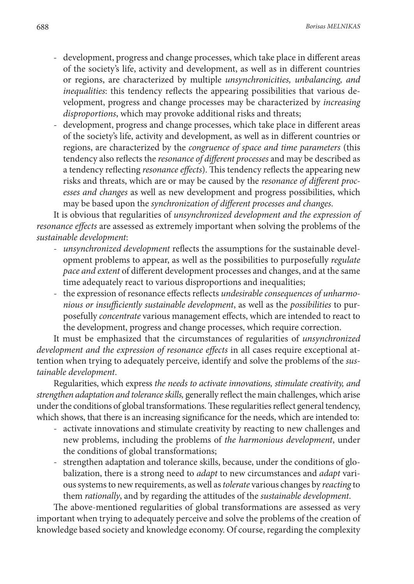- development, progress and change processes, which take place in different areas of the society's life, activity and development, as well as in different countries or regions, are characterized by multiple *unsynchronicities, unbalancing, and inequalities*: this tendency reflects the appearing possibilities that various development, progress and change processes may be characterized by *increasing disproportions*, which may provoke additional risks and threats;
- development, progress and change processes, which take place in different areas of the society's life, activity and development, as well as in different countries or regions, are characterized by the *congruence of space and time parameters* (this tendency also reflects the *resonance of different processes* and may be described as a tendency reflecting *resonance effects*). This tendency reflects the appearing new risks and threats, which are or may be caused by the *resonance of different processes and changes* as well as new development and progress possibilities, which may be based upon the *synchronization of different processes and changes*.

It is obvious that regularities of *unsynchronized development and the expression of resonance effects* are assessed as extremely important when solving the problems of the *sustainable development*:

- *- unsynchronized development* reflects the assumptions for the sustainable development problems to appear, as well as the possibilities to purposefully *regulate pace and extent* of different development processes and changes, and at the same time adequately react to various disproportions and inequalities;
- the expression of resonance effects reflects *undesirable consequences of unharmonious or insufficiently sustainable development*, as well as the *possibilities* to purposefully *concentrate* various management effects, which are intended to react to the development, progress and change processes, which require correction.

It must be emphasized that the circumstances of regularities of *unsynchronized development and the expression of resonance effects* in all cases require exceptional attention when trying to adequately perceive, identify and solve the problems of the *sustainable development*.

Regularities, which express *the needs to activate innovations, stimulate creativity, and strengthen adaptation and tolerance skills,* generally reflect the main challenges, which arise under the conditions of global transformations. These regularities reflect general tendency, which shows, that there is an increasing significance for the needs, which are intended to:

- activate innovations and stimulate creativity by reacting to new challenges and new problems, including the problems of *the harmonious development*, under the conditions of global transformations;
- strengthen adaptation and tolerance skills, because, under the conditions of globalization, there is a strong need to *adapt* to new circumstances and *adapt* various systems to new requirements, as well as *tolerate* various changes by *reacting* to them *rationally*, and by regarding the attitudes of the *sustainable development*.

The above-mentioned regularities of global transformations are assessed as very important when trying to adequately perceive and solve the problems of the creation of knowledge based society and knowledge economy. Of course, regarding the complexity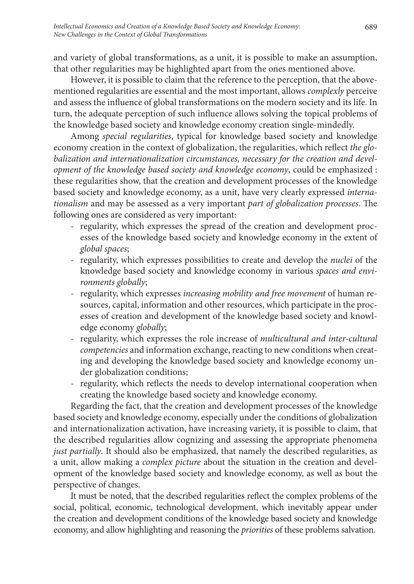and variety of global transformations, as a unit, it is possible to make an assumption, that other regularities may be highlighted apart from the ones mentioned above.

However, it is possible to claim that the reference to the perception, that the abovementioned regularities are essential and the most important, allows *complexly* perceive and assess the influence of global transformations on the modern society and its life. In turn, the adequate perception of such influence allows solving the topical problems of the knowledge based society and knowledge economy creation single-mindedly.

Among *special regularities*, typical for knowledge based society and knowledge economy creation in the context of globalization, the regularities, which reflect *the globalization and internationalization circumstances, necessary for the creation and development of the knowledge based society and knowledge economy*, could be emphasized : these regularities show, that the creation and development processes of the knowledge based society and knowledge economy, as a unit, have very clearly expressed *internationalism* and may be assessed as a very important *part of globalization processes*. The following ones are considered as very important:

- regularity, which expresses the spread of the creation and development processes of the knowledge based society and knowledge economy in the extent of *global spaces*;
- regularity, which expresses possibilities to create and develop the *nuclei* of the knowledge based society and knowledge economy in various *spaces and environments globally*;
- regularity, which expresses *increasing mobility and free movement* of human resources, capital, information and other resources, which participate in the processes of creation and development of the knowledge based society and knowledge economy *globally*;
- regularity, which expresses the role increase of *multicultural and inter-cultural competencies* and information exchange, reacting to new conditions when creating and developing the knowledge based society and knowledge economy under globalization conditions;
- regularity, which reflects the needs to develop international cooperation when creating the knowledge based society and knowledge economy.

Regarding the fact, that the creation and development processes of the knowledge based society and knowledge economy, especially under the conditions of globalization and internationalization activation, have increasing variety, it is possible to claim, that the described regularities allow cognizing and assessing the appropriate phenomena *just partially*. It should also be emphasized, that namely the described regularities, as a unit, allow making a *complex picture* about the situation in the creation and development of the knowledge based society and knowledge economy, as well as bout the perspective of changes.

It must be noted, that the described regularities reflect the complex problems of the social, political, economic, technological development, which inevitably appear under the creation and development conditions of the knowledge based society and knowledge economy, and allow highlighting and reasoning the *priorities* of these problems salvation.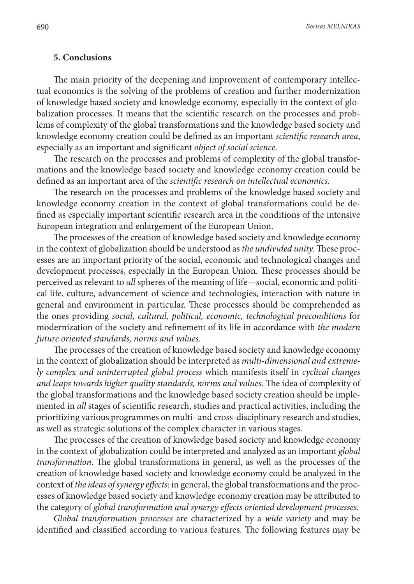#### **5. Conclusions**

The main priority of the deepening and improvement of contemporary intellectual economics is the solving of the problems of creation and further modernization of knowledge based society and knowledge economy, especially in the context of globalization processes. It means that the scientific research on the processes and problems of complexity of the global transformations and the knowledge based society and knowledge economy creation could be defined as an important *scientific research area*, especially as an important and significant *object of social science*.

The research on the processes and problems of complexity of the global transformations and the knowledge based society and knowledge economy creation could be defined as an important area of the *scientific research on intellectual economics.* 

The research on the processes and problems of the knowledge based society and knowledge economy creation in the context of global transformations could be defined as especially important scientific research area in the conditions of the intensive European integration and enlargement of the European Union.

The processes of the creation of knowledge based society and knowledge economy in the context of globalization should be understood as *the undivided unity.* These processes are an important priority of the social, economic and technological changes and development processes, especially in the European Union. These processes should be perceived as relevant to *all* spheres of the meaning of life—social, economic and political life, culture, advancement of science and technologies, interaction with nature in general and environment in particular. These processes should be comprehended as the ones providing *social, cultural, political, economic, technological preconditions* for modernization of the society and refinement of its life in accordance with *the modern future oriented standards, norms and values*.

The processes of the creation of knowledge based society and knowledge economy in the context of globalization should be interpreted as *multi-dimensional and extremely complex and uninterrupted global process* which manifests itself in *cyclical changes and leaps towards higher quality standards, norms and values.* The idea of complexity of the global transformations and the knowledge based society creation should be implemented in *all* stages of scientific research, studies and practical activities, including the prioritizing various programmes on multi- and cross-disciplinary research and studies, as well as strategic solutions of the complex character in various stages.

The processes of the creation of knowledge based society and knowledge economy in the context of globalization could be interpreted and analyzed as an important *global transformation*. The global transformations in general, as well as the processes of the creation of knowledge based society and knowledge economy could be analyzed in the context of *the ideas of synergy effects*: in general, the global transformations and the processes of knowledge based society and knowledge economy creation may be attributed to the category of *global transformation and synergy effects oriented development processes.* 

*Global transformation processes* are characterized by a *wide variety* and may be identified and classified according to various features. The following features may be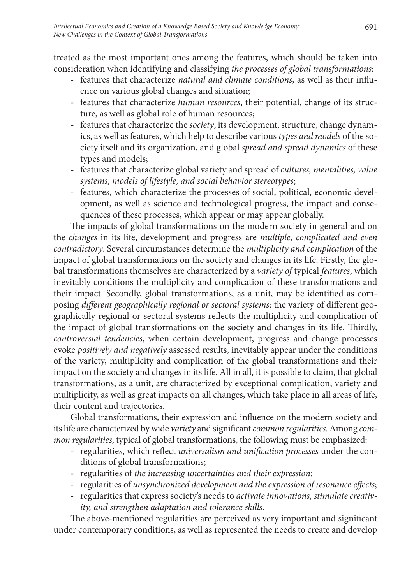treated as the most important ones among the features, which should be taken into consideration when identifying and classifying *the processes of global transformations*:

- features that characterize *natural and climate conditions*, as well as their influence on various global changes and situation;
- features that characterize *human resources*, their potential, change of its structure, as well as global role of human resources;
- features that characterize the *society*, its development, structure, change dynamics, as well as features, which help to describe various *types and models* of the society itself and its organization, and global *spread and spread dynamics* of these types and models;
- features that characterize global variety and spread of *cultures, mentalities, value systems, models of lifestyle, and social behavior stereotypes*;
- features, which characterize the processes of social, political, economic development, as well as science and technological progress, the impact and consequences of these processes, which appear or may appear globally.

The impacts of global transformations on the modern society in general and on the *changes* in its life, development and progress are *multiple, complicated and even contradictory*. Several circumstances determine the *multiplicity and complication* of the impact of global transformations on the society and changes in its life. Firstly, the global transformations themselves are characterized by a *variety of* typical *features*, which inevitably conditions the multiplicity and complication of these transformations and their impact. Secondly, global transformations, as a unit, may be identified as composing *different geographically regional or sectoral systems*: the variety of different geographically regional or sectoral systems reflects the multiplicity and complication of the impact of global transformations on the society and changes in its life. Thirdly, *controversial tendencies*, when certain development, progress and change processes evoke *positively and negatively* assessed results, inevitably appear under the conditions of the variety, multiplicity and complication of the global transformations and their impact on the society and changes in its life. All in all, it is possible to claim, that global transformations, as a unit, are characterized by exceptional complication, variety and multiplicity, as well as great impacts on all changes, which take place in all areas of life, their content and trajectories.

Global transformations, their expression and influence on the modern society and its life are characterized by wide *variety* and significant *common regularities*. Among *common regularities*, typical of global transformations, the following must be emphasized:

- regularities, which reflect *universalism and unification processes* under the conditions of global transformations;
- regularities of *the increasing uncertainties and their expression*;
- regularities of *unsynchronized development and the expression of resonance effects*;
- regularities that express society's needs to *activate innovations, stimulate creativity, and strengthen adaptation and tolerance skills*.

The above-mentioned regularities are perceived as very important and significant under contemporary conditions, as well as represented the needs to create and develop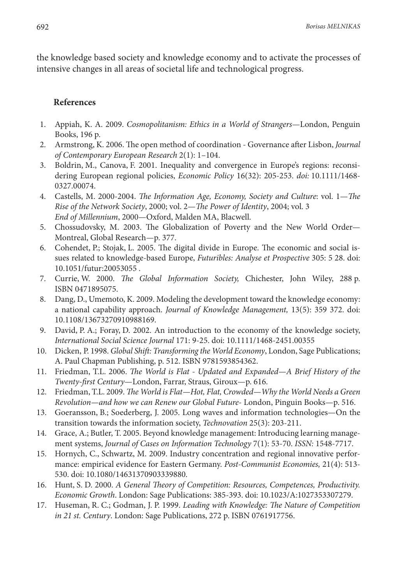the knowledge based society and knowledge economy and to activate the processes of intensive changes in all areas of societal life and technological progress.

#### **References**

- 1. Appiah, K. A. 2009. *Cosmopolitanism: Ethics in a World of Strangers*—London, Penguin Books, 196 p.
- 2. Armstrong, K. 2006. The open method of coordination Governance after Lisbon, *Journal of Contemporary European Research* 2(1): 1–104.
- 3. Boldrin, M., Canova, F. 2001. Inequality and convergence in Europe's regions: reconsidering European regional policies, *Economic Policy* 16(32): 205-253. *doi:* 10.1111/1468- 0327.00074.
- 4. Castells, M. 2000-2004. *The Information Age, Economy, Society and Culture*: vol. 1—*The Rise of the Network Society*, 2000; vol. 2—*The Power of Identity*, 2004; vol. 3  *End of Millennium*, 2000—Oxford, Malden MA, Blacwell.
- 5. Chossudovsky, M. 2003. The Globalization of Poverty and the New World Order— Montreal, Global Research—p. 377.
- 6. Cohendet, P.; Stojak, L. 2005. The digital divide in Europe. The economic and social issues related to knowledge-based Europe, *Futuribles: Analyse et Prospective* 305: 5 28. doi: 10.1051/futur:20053055 .
- 7. Currie, W. 2000. *The Global Information Society,* Chichester, John Wiley, 288 p. ISBN 0471895075.
- 8. Dang, D., Umemoto, K. 2009. Modeling the development toward the knowledge economy: a national capability approach. *Journal of Knowledge Management,* 13(5): 359 372. doi: 10.1108/13673270910988169.
- 9. David, P. A.; Foray, D. 2002. An introduction to the economy of the knowledge society, *International Social Science Journal* 171: 9-25. doi: 10.1111/1468-2451.00355
- 10. Dicken, P. 1998. *Global Shift: Transforming the World Economy*, London, Sage Publications; A. Paul Chapman Publishing, p. 512. ISBN 9781593854362.
- 11. Friedman, T.L. 2006. *The World is Flat Updated and Expanded—A Brief History of the Twenty-first Century*—London, Farrar, Straus, Giroux—p. 616.
- 12. Friedman, T.L. 2009. *The World is Flat—Hot, Flat, Crowded—Why the World Needs a Green Revolution—and how we can Renew our Global Future*- London, Pinguin Books—p. 516.
- 13. Goeransson, B.; Soederberg, J. 2005. Long waves and information technologies—On the transition towards the information society, *Technovation* 25(3): 203-211.
- 14. Grace, A.; Butler, T. 2005. Beyond knowledge management: Introducing learning management systems, *Journal of Cases on Information Technology* 7(1): 53-70. *ISSN:* 1548-7717.
- 15. Hornych, C., Schwartz, M. 2009. Industry concentration and regional innovative performance: empirical evidence for Eastern Germany. *Post-Communist Economies,* 21(4): 513- 530. doi: 10.1080/14631370903339880.
- 16. Hunt, S. D. 2000. *A General Theory of Competition: Resources, Competences, Productivity. Economic Growth*. London: Sage Publications: 385-393. doi: 10.1023/A:1027353307279.
- 17. Huseman, R. C.; Godman, J. P. 1999. *Leading with Knowledge: The Nature of Competition in 21 st. Century*. London: Sage Publications, 272 p. ISBN 0761917756.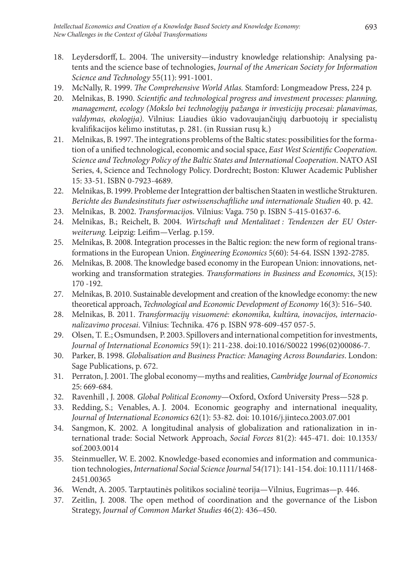- 18. Leydersdorff, L. 2004. The university—industry knowledge relationship: Analysing patents and the science base of technologies, *Journal of the American Society for Information Science and Technology* 55(11): 991-1001.
- 19. McNally, R. 1999. *The Comprehensive World Atlas.* Stamford: Longmeadow Press, 224 p.
- 20. Melnikas, B. 1990. *Scientific and technological progress and investment processes: planning, management, ecology (Mokslo bei technologijų pažanga ir investicijų procesai: planavimas, valdymas, ekologija)*. Vilnius: Liaudies ūkio vadovaujančiųjų darbuotojų ir specialistų kvalifikacijos kėlimo institutas, p. 281. (in Russian rusų k.)
- 21. Melnikas, B. 1997. The integrations problems of the Baltic states: possibilities for the formation of a unified technological, economic and social space, *East West Scientific Cooperation. Science and Technology Policy of the Baltic States and International Cooperation*. NATO ASI Series, 4, Science and Technology Policy. Dordrecht; Boston: Kluwer Academic Publisher 15: 33-51. ISBN 0-7923-4689.
- 22. Melnikas, B. 1999. Probleme der Integrattion der baltischen Staaten in westliche Strukturen. *Berichte des Bundesinstituts fuer ostwissenschaftliche und internationale Studien* 40. p. 42.
- 23. Melnikas, B. 2002. *Transformacijo*s. Vilnius: Vaga. 750 p. ISBN 5-415-01637-6.
- 24. Melnikas, B.; Reichelt, B. 2004. *Wirtschaft und Mentalitaet : Tendenzen der EU Osterweiterung.* Leipzig: Leifim*—*Verlag. p.159.
- 25. Melnikas, B. 2008. Integration processes in the Baltic region: the new form of regional transformations in the European Union. *Engineering Economics* 5(60): 54-64. ISSN 1392-2785.
- 26. Melnikas, B. 2008. The knowledge based economy in the European Union: innovations, networking and transformation strategies. *Transformations in Business and Economics*, 3(15): 170 -192.
- 27. Melnikas, B. 2010. Sustainable development and creation of the knowledge economy: the new theoretical approach, *Technological and Economic Development of Economy* 16(3): 516–540.
- 28. Melnikas, B. 2011. *Transformacijų visuomenė: ekonomika, kultūra, inovacijos, internacionalizavimo procesai*. Vilnius: Technika. 476 p. ISBN 978-609-457 057-5.
- 29. Olsen, T. E.; Osmundsen, P. 2003. Spillovers and international competition for investments, *Journal of International Economics* 59(1): 211-238. doi:10.1016/S0022 1996(02)00086-7.
- 30. Parker, B. 1998. *Globalisation and Business Practice: Managing Across Boundaries*. London: Sage Publications, p. 672.
- 31. Perraton, J. 2001. The global economy—myths and realities, *Cambridge Journal of Economics* 25: 669-684.
- 32. Ravenhill , J. 2008*. Global Political Economy*—Oxford, Oxford University Press—528 p.
- 33. Redding, S.; Venables, A. J. 2004. Economic geography and international inequality, *Journal of International Economics* 62(1): 53-82. doi: 10.1016/j.jinteco.2003.07.001
- 34. Sangmon, K. 2002. A longitudinal analysis of globalization and rationalization in international trade: Social Network Approach, *Social Forces* 81(2): 445-471. doi: 10.1353/ sof.2003.0014
- 35. Steinmueller, W. E. 2002. Knowledge-based economies and information and communication technologies, *International Social Science Journal* 54*(*171): 141-154. doi: 10.1111/1468- 2451.00365
- 36. Wendt, A. 2005. Tarptautinės politikos socialinė teorija—Vilnius, Eugrimas—p. 446.
- 37. Zeitlin, J. 2008. The open method of coordination and the governance of the Lisbon Strategy, *Journal of Common Market Studies* 46(2): 436–450.